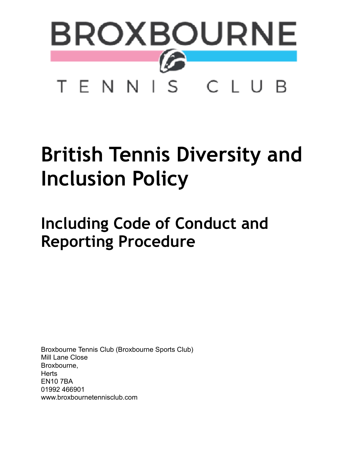

# **British Tennis Diversity and Inclusion Policy**

## <span id="page-0-0"></span>**Including Code of Conduct and Reporting Procedure**

Broxbourne Tennis Club (Broxbourne Sports Club) Mill Lane Close Broxbourne, **Herts** EN10 7BA 01992 466901 www.broxbournetennisclub.com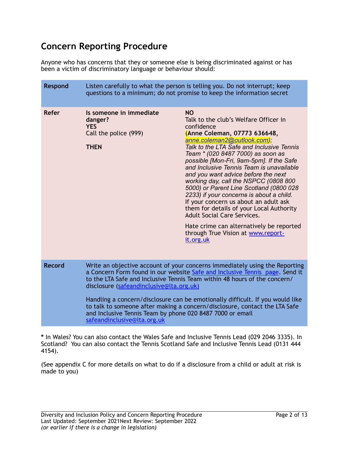### **Concern Reporting Procedure**

Anyone who has concerns that they or someone else is being discriminated against or has been a victim of discriminatory language or behaviour should:

| <b>Respond</b> | Listen carefully to what the person is telling you. Do not interrupt; keep<br>questions to a minimum; do not promise to keep the information secret                                                                                                                                                                                                                                                                                                                                                                                            |                                                                                                                                                                                                                                                                                                                                                                                                                                                                                                                                                                                                                                                                                                            |
|----------------|------------------------------------------------------------------------------------------------------------------------------------------------------------------------------------------------------------------------------------------------------------------------------------------------------------------------------------------------------------------------------------------------------------------------------------------------------------------------------------------------------------------------------------------------|------------------------------------------------------------------------------------------------------------------------------------------------------------------------------------------------------------------------------------------------------------------------------------------------------------------------------------------------------------------------------------------------------------------------------------------------------------------------------------------------------------------------------------------------------------------------------------------------------------------------------------------------------------------------------------------------------------|
| Refer          | Is someone in immediate<br>danger?<br><b>YES</b><br>Call the police (999)<br><b>THEN</b>                                                                                                                                                                                                                                                                                                                                                                                                                                                       | <b>NO</b><br>Talk to the club's Welfare Officer in<br>confidence<br>(Anne Coleman, 07773 636648,<br>anne.coleman2@outlook.com);<br>Talk to the LTA Safe and Inclusive Tennis<br>Team * (020 8487 7000) as soon as<br>possible [Mon-Fri, 9am-5pm]. If the Safe<br>and Inclusive Tennis Team is unavailable<br>and you want advice before the next<br>working day, call the NSPCC (0808 800<br>5000) or Parent Line Scotland (0800 028<br>2233) if your concerns is about a child.<br>If your concern us about an adult ask<br>them for details of your Local Authority<br><b>Adult Social Care Services.</b><br>Hate crime can alternatively be reported<br>through True Vision at www.report-<br>it.org.uk |
| <b>Record</b>  | Write an objective account of your concerns immediately using the Reporting<br>a Concern Form found in our website Safe and Inclusive Tennis page. Send it<br>to the LTA Safe and Inclusive Tennis Team within 48 hours of the concern/<br>disclosure (safeandinclusive@lta.org.uk)<br>Handling a concern/disclosure can be emotionally difficult. If you would like<br>to talk to someone after making a concern/disclosure, contact the LTA Safe<br>and Inclusive Tennis Team by phone 020 8487 7000 or email<br>safeandinclusive@lta.org.uk |                                                                                                                                                                                                                                                                                                                                                                                                                                                                                                                                                                                                                                                                                                            |

**\*** In Wales? You can also contact the Wales Safe and Inclusive Tennis Lead (029 2046 3335). In Scotland? You can also contact the Tennis Scotland Safe and Inclusive Tennis Lead (0131 444 4154).

(See appendix C for more details on what to do if a disclosure from a child or adult at risk is made to you)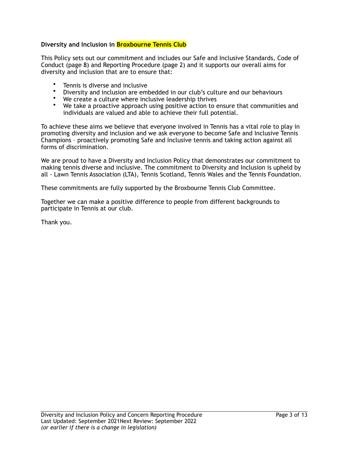#### **Diversity and Inclusion in Broxbourne Tennis Club**

This Policy sets out our commitment and includes our Safe and Inclusive Standards, Code of Conduct (page 8) and Reporting Procedure (page 2) and it supports our overall aims for diversity and inclusion that are to ensure that:

- Tennis is diverse and inclusive<br>• Diversity and inclusion are emb
- Diversity and inclusion are embedded in our club's culture and our behaviours
- We create a culture where inclusive leadership thrives<br>• We take a proactive approach using positive action to g
- We take a proactive approach using positive action to ensure that communities and individuals are valued and able to achieve their full potential.

To achieve these aims we believe that everyone involved in Tennis has a vital role to play in promoting diversity and inclusion and we ask everyone to become Safe and Inclusive Tennis Champions – proactively promoting Safe and Inclusive tennis and taking action against all forms of discrimination.

We are proud to have a Diversity and Inclusion Policy that demonstrates our commitment to making tennis diverse and inclusive. The commitment to Diversity and Inclusion is upheld by all - Lawn Tennis Association (LTA), Tennis Scotland, Tennis Wales and the Tennis Foundation.

These commitments are fully supported by the Broxbourne Tennis Club Committee.

Together we can make a positive difference to people from different backgrounds to participate in Tennis at our club.

Thank you.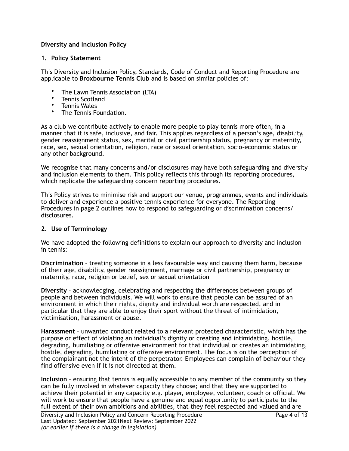#### **Diversity and Inclusion Policy**

#### **1. Policy Statement**

This Diversity and Inclusion Policy, Standards, Code of Conduct and Reporting Procedure are applicable to **Broxbourne Tennis Club** and is based on similar policies of:

- The Lawn Tennis Association (LTA)
- Tennis Scotland<br>• Tennis Wales
- Tennis Wales
- The Tennis Foundation.

As a club we contribute actively to enable more people to play tennis more often, in a manner that it is safe, inclusive, and fair. This applies regardless of a person's age, disability, gender reassignment status, sex, marital or civil partnership status, pregnancy or maternity, race, sex, sexual orientation, religion, race or sexual orientation, socio-economic status or any other background.

We recognise that many concerns and/or disclosures may have both safeguarding and diversity and inclusion elements to them. This policy reflects this through its reporting procedures, which replicate the safeguarding concern reporting procedures.

This Policy strives to minimise risk and support our venue, programmes, events and individuals to deliver and experience a positive tennis experience for everyone. The Reporting Procedures in page 2 outlines how to respond to safeguarding or discrimination concerns/ disclosures.

#### **2. Use of Terminology**

We have adopted the following definitions to explain our approach to diversity and inclusion in tennis:

**Discrimination** – treating someone in a less favourable way and causing them harm, because of their age, disability, gender reassignment, marriage or civil partnership, pregnancy or maternity, race, religion or belief, sex or sexual orientation

**Diversity** – acknowledging, celebrating and respecting the differences between groups of people and between individuals. We will work to ensure that people can be assured of an environment in which their rights, dignity and individual worth are respected, and in particular that they are able to enjoy their sport without the threat of intimidation, victimisation, harassment or abuse.

**Harassment** – unwanted conduct related to a relevant protected characteristic, which has the purpose or effect of violating an individual's dignity or creating and intimidating, hostile, degrading, humiliating or offensive environment for that individual or creates an intimidating, hostile, degrading, humiliating or offensive environment. The focus is on the perception of the complainant not the intent of the perpetrator. Employees can complain of behaviour they find offensive even if it is not directed at them.

**Inclusion** – ensuring that tennis is equally accessible to any member of the community so they can be fully involved in whatever capacity they choose; and that they are supported to achieve their potential in any capacity e.g. player, employee, volunteer, coach or official. We will work to ensure that people have a genuine and equal opportunity to participate to the full extent of their own ambitions and abilities, that they feel respected and valued and are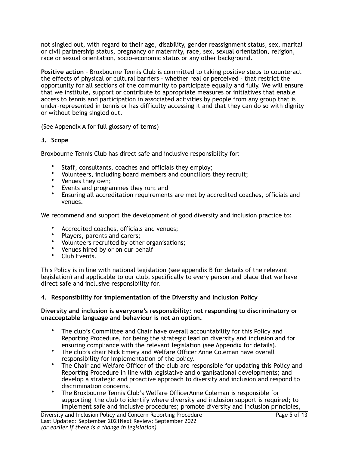not singled out, with regard to their age, disability, gender reassignment status, sex, marital or civil partnership status, pregnancy or maternity, race, sex, sexual orientation, religion, race or sexual orientation, socio-economic status or any other background.

**Positive action** – Broxbourne Tennis Club is committed to taking positive steps to counteract the effects of physical or cultural barriers – whether real or perceived – that restrict the opportunity for all sections of the community to participate equally and fully. We will ensure that we institute, support or contribute to appropriate measures or initiatives that enable access to tennis and participation in associated activities by people from any group that is under-represented in tennis or has difficulty accessing it and that they can do so with dignity or without being singled out.

(See Appendix A for full glossary of terms)

#### **3. Scope**

Broxbourne Tennis Club has direct safe and inclusive responsibility for:

- Staff, consultants, coaches and officials they employ;
- Volunteers, including board members and councillors they recruit;
- Venues they own;
- Events and programmes they run; and
- Ensuring all accreditation requirements are met by accredited coaches, officials and venues.

We recommend and support the development of good diversity and inclusion practice to:

- Accredited coaches, officials and venues;
- Players, parents and carers;
- Volunteers recruited by other organisations;
- Venues hired by or on our behalf
- Club Events.

This Policy is in line with national legislation (see appendix B for details of the relevant legislation) and applicable to our club, specifically to every person and place that we have direct safe and inclusive responsibility for.

#### **4. Responsibility for implementation of the Diversity and Inclusion Policy**

#### **Diversity and inclusion is everyone's responsibility: not responding to discriminatory or unacceptable language and behaviour is not an option.**

- The club's Committee and Chair have overall accountability for this Policy and Reporting Procedure, for being the strategic lead on diversity and inclusion and for ensuring compliance with the relevant legislation (see Appendix for details).
- The club's chair Nick Emery and Welfare Officer Anne Coleman have overall responsibility for implementation of the policy.
- The Chair and Welfare Officer of the club are responsible for updating this Policy and Reporting Procedure in line with legislative and organisational developments; and develop a strategic and proactive approach to diversity and inclusion and respond to discrimination concerns.
- The Broxbourne Tennis Club's Welfare OfficerAnne Coleman is responsible for supporting the club to identify where diversity and inclusion support is required; to implement safe and inclusive procedures; promote diversity and inclusion principles,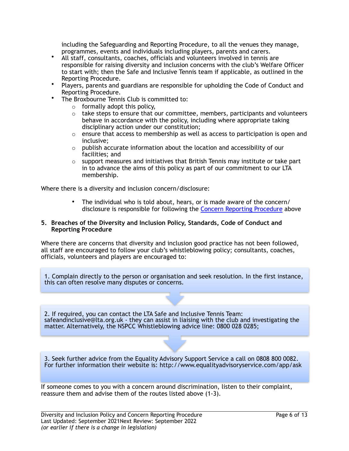including the Safeguarding and Reporting Procedure, to all the venues they manage, programmes, events and individuals including players, parents and carers.

- All staff, consultants, coaches, officials and volunteers involved in tennis are responsible for raising diversity and inclusion concerns with the club's Welfare Officer to start with; then the Safe and Inclusive Tennis team if applicable, as outlined in the Reporting Procedure.
- Players, parents and guardians are responsible for upholding the Code of Conduct and Reporting Procedure.
- The Broxbourne Tennis Club is committed to:
	- $\circ$  formally adopt this policy,
	- $\circ$  take steps to ensure that our committee, members, participants and volunteers behave in accordance with the policy, including where appropriate taking disciplinary action under our constitution;
	- $\circ$  ensure that access to membership as well as access to participation is open and inclusive;
	- o publish accurate information about the location and accessibility of our facilities; and
	- $\circ$  support measures and initiatives that British Tennis may institute or take part in to advance the aims of this policy as part of our commitment to our LTA membership.

Where there is a diversity and inclusion concern/disclosure:

• The individual who is told about, hears, or is made aware of the concern/ disclosure is responsible for following the [Concern Reporting Procedure](#page-0-0) above

#### **5. Breaches of the Diversity and Inclusion Policy, Standards, Code of Conduct and Reporting Procedure**

Where there are concerns that diversity and inclusion good practice has not been followed, all staff are encouraged to follow your club's whistleblowing policy; consultants, coaches, officials, volunteers and players are encouraged to:

1. Complain directly to the person or organisation and seek resolution. In the first instance, this can often resolve many disputes or concerns.

2. If required, you can contact the LTA Safe and Inclusive Tennis Team: safeandinclusive@lta.org.uk - they can assist in liaising with the club and investigating the matter. Alternatively, the NSPCC Whistleblowing advice line: 0800 028 0285;

3. Seek further advice from the Equality Advisory Support Service a call on 0808 800 0082. For further information their website is: http://www.equalityadvisoryservice.com/app/ask

If someone comes to you with a concern around discrimination, listen to their complaint, reassure them and advise them of the routes listed above (1-3).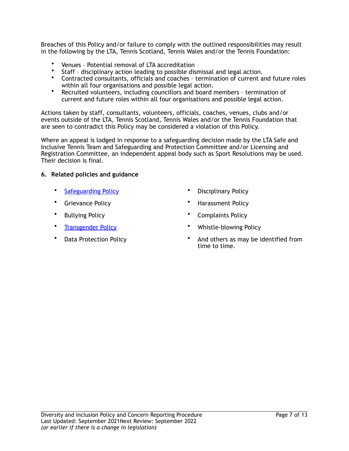Breaches of this Policy and/or failure to comply with the outlined responsibilities may result in the following by the LTA, Tennis Scotland, Tennis Wales and/or the Tennis Foundation:

- Venues Potential removal of LTA accreditation
- Staff disciplinary action leading to possible dismissal and legal action.<br>• Contracted consultants, officials and coaches termination of current and
- Contracted consultants, officials and coaches termination of current and future roles within all four organisations and possible legal action.
- Recruited volunteers, including councillors and board members termination of current and future roles within all four organisations and possible legal action.

Actions taken by staff, consultants, volunteers, officials, coaches, venues, clubs and/or events outside of the LTA, Tennis Scotland, Tennis Wales and/or the Tennis Foundation that are seen to contradict this Policy may be considered a violation of this Policy.

Where an appeal is lodged in response to a safeguarding decision made by the LTA Safe and Inclusive Tennis Team and Safeguarding and Protection Committee and/or Licensing and Registration Committee, an independent appeal body such as Sport Resolutions may be used. Their decision is final.

#### **6. Related policies and guidance**

- 
- 
- 
- 
- 
- [Safeguarding Policy](https://www.lta.org.uk/globalassets/about-lta/safeguarding/british-tennis-safeguarding-policy.pdf) Disciplinary Policy
- Grievance Policy Harassment Policy
- Bullying Policy Complaints Policy
- [Transgender Policy](https://www.lta.org.uk/about-the-lta/policies-and-rules/transgender-policy/) Whistle-blowing Policy
- Data Protection Policy And others as may be identified from time to time.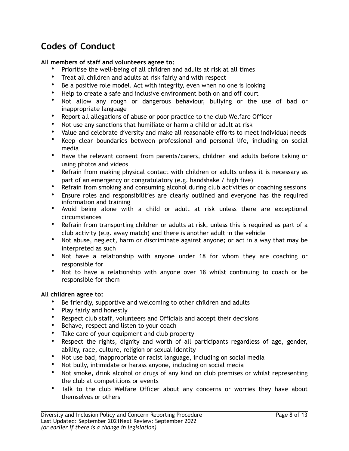## **Codes of Conduct**

#### **All members of staff and volunteers agree to:**

- Prioritise the well-being of all children and adults at risk at all times
- Treat all children and adults at risk fairly and with respect
- Be a positive role model. Act with integrity, even when no one is looking
- Help to create a safe and inclusive environment both on and off court
- Not allow any rough or dangerous behaviour, bullying or the use of bad or inappropriate language
- Report all allegations of abuse or poor practice to the club Welfare Officer
- Not use any sanctions that humiliate or harm a child or adult at risk
- Value and celebrate diversity and make all reasonable efforts to meet individual needs
- Keep clear boundaries between professional and personal life, including on social media
- Have the relevant consent from parents/carers, children and adults before taking or using photos and videos
- Refrain from making physical contact with children or adults unless it is necessary as part of an emergency or congratulatory (e.g. handshake / high five)
- Refrain from smoking and consuming alcohol during club activities or coaching sessions
- Ensure roles and responsibilities are clearly outlined and everyone has the required information and training
- Avoid being alone with a child or adult at risk unless there are exceptional circumstances
- Refrain from transporting children or adults at risk, unless this is required as part of a club activity (e.g. away match) and there is another adult in the vehicle
- Not abuse, neglect, harm or discriminate against anyone; or act in a way that may be interpreted as such
- Not have a relationship with anyone under 18 for whom they are coaching or responsible for
- Not to have a relationship with anyone over 18 whilst continuing to coach or be responsible for them

#### **All children agree to:**

- Be friendly, supportive and welcoming to other children and adults
- Play fairly and honestly
- Respect club staff, volunteers and Officials and accept their decisions
- Behave, respect and listen to your coach
- Take care of your equipment and club property
- Respect the rights, dignity and worth of all participants regardless of age, gender, ability, race, culture, religion or sexual identity
- Not use bad, inappropriate or racist language, including on social media
- Not bully, intimidate or harass anyone, including on social media
- Not smoke, drink alcohol or drugs of any kind on club premises or whilst representing the club at competitions or events
- Talk to the club Welfare Officer about any concerns or worries they have about themselves or others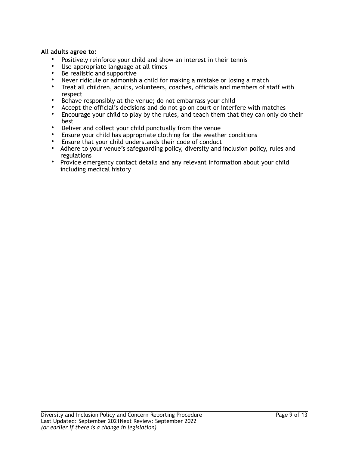#### **All adults agree to:**

- Positively reinforce your child and show an interest in their tennis
- Use appropriate language at all times
- Be realistic and supportive
- Never ridicule or admonish a child for making a mistake or losing a match
- Treat all children, adults, volunteers, coaches, officials and members of staff with respect
- Behave responsibly at the venue; do not embarrass your child
- Accept the official's decisions and do not go on court or interfere with matches
- Encourage your child to play by the rules, and teach them that they can only do their best
- Deliver and collect your child punctually from the venue
- Ensure your child has appropriate clothing for the weather conditions
- Ensure that your child understands their code of conduct
- Adhere to your venue's safeguarding policy, diversity and inclusion policy, rules and regulations
- Provide emergency contact details and any relevant information about your child including medical history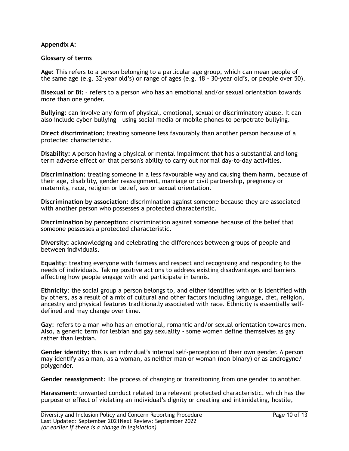#### **Appendix A:**

#### **Glossary of terms**

**Age:** This refers to a person belonging to a particular age group, which can mean people of the same age (e.g. 32-year old's) or range of ages (e.g. 18 - 30-year old's, or people over 50).

**Bisexual or Bi:** – refers to a person who has an emotional and/or sexual orientation towards more than one gender.

**Bullying:** can involve any form of physical, emotional, sexual or discriminatory abuse. It can also include cyber-bullying – using social media or mobile phones to perpetrate bullying.

**Direct discrimination:** treating someone less favourably than another person because of a protected characteristic.

**Disability:** A person having a physical or mental impairment that has a substantial and longterm adverse effect on that person's ability to carry out normal day-to-day activities.

**Discrimination:** treating someone in a less favourable way and causing them harm, because of their age, disability, gender reassignment, marriage or civil partnership, pregnancy or maternity, race, religion or belief, sex or sexual orientation.

**Discrimination by association:** discrimination against someone because they are associated with another person who possesses a protected characteristic.

**Discrimination by perception:** discrimination against someone because of the belief that someone possesses a protected characteristic.

**Diversity:** acknowledging and celebrating the differences between groups of people and between individuals**.** 

**Equality**: treating everyone with fairness and respect and recognising and responding to the needs of individuals. Taking positive actions to address existing disadvantages and barriers affecting how people engage with and participate in tennis.

**Ethnicity**: the social group a person belongs to, and either identifies with or is identified with by others, as a result of a mix of cultural and other factors including language, diet, religion, ancestry and physical features traditionally associated with race. Ethnicity is essentially selfdefined and may change over time.

**Gay**: refers to a man who has an emotional, romantic and/or sexual orientation towards men. Also, a generic term for lesbian and gay sexuality - some women define themselves as gay rather than lesbian.

**Gender identity: t**his is an individual's internal self-perception of their own gender. A person may identify as a man, as a woman, as neither man or woman (non-binary) or as androgyne/ polygender.

**Gender reassignment**: The process of changing or transitioning from one gender to another.

**Harassment:** unwanted conduct related to a relevant protected characteristic, which has the purpose or effect of violating an individual's dignity or creating and intimidating, hostile,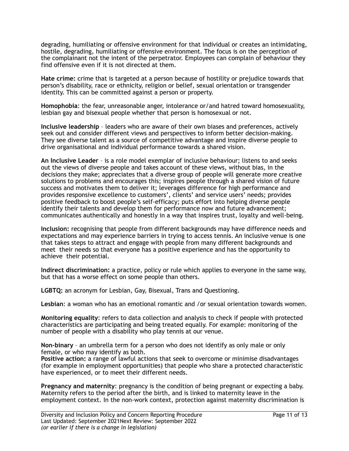degrading, humiliating or offensive environment for that individual or creates an intimidating, hostile, degrading, humiliating or offensive environment. The focus is on the perception of the complainant not the intent of the perpetrator. Employees can complain of behaviour they find offensive even if it is not directed at them.

**Hate crime:** crime that is targeted at a person because of hostility or prejudice towards that person's disability, race or ethnicity, religion or belief, sexual orientation or transgender identity. This can be committed against a person or property.

**Homophobia**: the fear, unreasonable anger, intolerance or/and hatred toward homosexuality, lesbian gay and bisexual people whether that person is homosexual or not.

**Inclusive leadership** – leaders who are aware of their own biases and preferences, actively seek out and consider different views and perspectives to inform better decision-making. They see diverse talent as a source of competitive advantage and inspire diverse people to drive organisational and individual performance towards a shared vision.

**An Inclusive Leader** – is a role model exemplar of inclusive behaviour; listens to and seeks out the views of diverse people and takes account of these views, without bias, in the decisions they make; appreciates that a diverse group of people will generate more creative solutions to problems and encourages this; inspires people through a shared vision of future success and motivates them to deliver it; leverages difference for high performance and provides responsive excellence to customers', clients' and service users' needs; provides positive feedback to boost people's self-efficacy; puts effort into helping diverse people identify their talents and develop them for performance now and future advancement; communicates authentically and honestly in a way that inspires trust, loyalty and well-being.

**Inclusion:** recognising that people from different backgrounds may have difference needs and expectations and may experience barriers in trying to access tennis. An inclusive venue is one that takes steps to attract and engage with people from many different backgrounds and meet their needs so that everyone has a positive experience and has the opportunity to achieve their potential.

**Indirect discrimination:** a practice, policy or rule which applies to everyone in the same way, but that has a worse effect on some people than others.

**LGBTQ:** an acronym for Lesbian, Gay, Bisexual, Trans and Questioning.

**Lesbian**: a woman who has an emotional romantic and /or sexual orientation towards women.

**Monitoring equality**: refers to data collection and analysis to check if people with protected characteristics are participating and being treated equally. For example: monitoring of the number of people with a disability who play tennis at our venue.

**Non-binary** – an umbrella term for a person who does not identify as only male or only female, or who may identify as both.

**Positive action:** a range of lawful actions that seek to overcome or minimise disadvantages (for example in employment opportunities) that people who share a protected characteristic have experienced, or to meet their different needs.

**Pregnancy and maternity**: pregnancy is the condition of being pregnant or expecting a baby. Maternity refers to the period after the birth, and is linked to maternity leave in the employment context. In the non-work context, protection against maternity discrimination is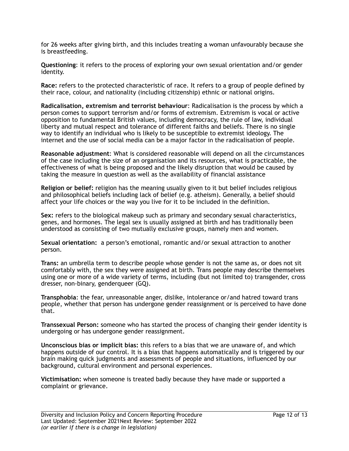for 26 weeks after giving birth, and this includes treating a woman unfavourably because she is breastfeeding.

**Questioning**: it refers to the process of exploring your own sexual orientation and/or gender identity.

**Race:** refers to the protected characteristic of race. It refers to a group of people defined by their race, colour, and nationality (including citizenship) ethnic or national origins.

**Radicalisation, extremism and terrorist behaviour**: Radicalisation is the process by which a person comes to support terrorism and/or forms of extremism. Extremism is vocal or active opposition to fundamental British values, including democracy, the rule of law, individual liberty and mutual respect and tolerance of different faiths and beliefs. There is no single way to identify an individual who is likely to be susceptible to extremist ideology. The internet and the use of social media can be a major factor in the radicalisation of people.

**Reasonable adjustment**: What is considered reasonable will depend on all the circumstances of the case including the size of an organisation and its resources, what is practicable, the effectiveness of what is being proposed and the likely disruption that would be caused by taking the measure in question as well as the availability of financial assistance

**Religion or belief:** religion has the meaning usually given to it but belief includes religious and philosophical beliefs including lack of belief (e.g. atheism). Generally, a belief should affect your life choices or the way you live for it to be included in the definition.

**Sex:** refers to the biological makeup such as primary and secondary sexual characteristics, genes, and hormones. The legal sex is usually assigned at birth and has traditionally been understood as consisting of two mutually exclusive groups, namely men and women.

**Sexual orientation:** a person's emotional, romantic and/or sexual attraction to another person.

**Trans:** an umbrella term to describe people whose gender is not the same as, or does not sit comfortably with, the sex they were assigned at birth. Trans people may describe themselves using one or more of a wide variety of terms, including (but not limited to) transgender, cross dresser, non-binary, genderqueer (GQ).

**Transphobia**: the fear, unreasonable anger, dislike, intolerance or/and hatred toward trans people, whether that person has undergone gender reassignment or is perceived to have done that.

**Transsexual Person:** someone who has started the process of changing their gender identity is undergoing or has undergone gender reassignment.

**Unconscious bias or implicit bias:** this refers to a bias that we are unaware of, and which happens outside of our control. It is a bias that happens automatically and is triggered by our brain making quick judgments and assessments of people and situations, influenced by our background, cultural environment and personal experiences.

**Victimisation:** when someone is treated badly because they have made or supported a complaint or grievance.